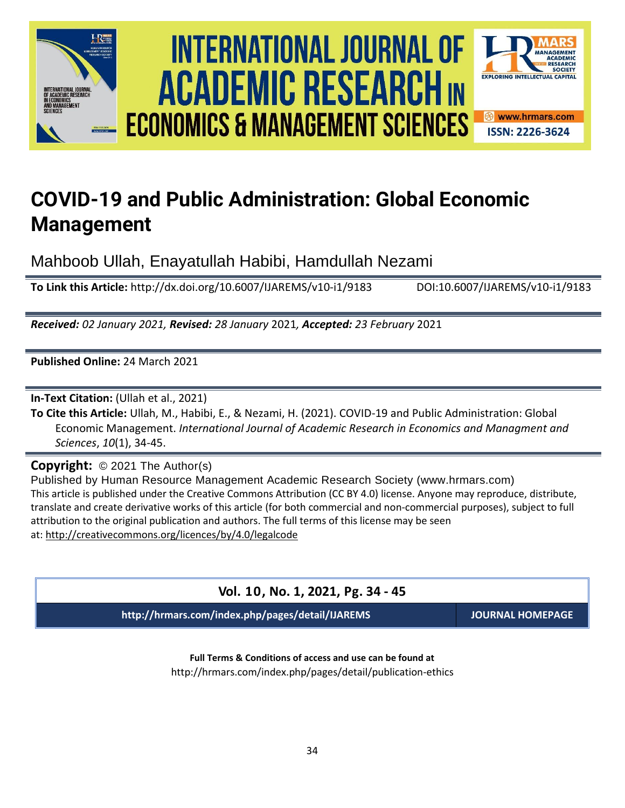





Mahboob Ullah, Enayatullah Habibi, Hamdullah Nezami

**To Link this Article:** http://dx.doi.org/10.6007/IJAREMS/v10-i1/9183 DOI:10.6007/IJAREMS/v10-i1/9183

*Received: 02 January 2021, Revised: 28 January* 2021*, Accepted: 23 February* 2021

**Published Online:** 24 March 2021

**In-Text Citation:** (Ullah et al., 2021)

**To Cite this Article:** Ullah, M., Habibi, E., & Nezami, H. (2021). COVID-19 and Public Administration: Global Economic Management. *International Journal of Academic Research in Economics and Managment and Sciences*, *10*(1), 34-45.

**Copyright:** © 2021 The Author(s)

Published by Human Resource Management Academic Research Society (www.hrmars.com) This article is published under the Creative Commons Attribution (CC BY 4.0) license. Anyone may reproduce, distribute, translate and create derivative works of this article (for both commercial and non-commercial purposes), subject to full attribution to the original publication and authors. The full terms of this license may be seen at: <http://creativecommons.org/licences/by/4.0/legalcode>

### **Vol. 10, No. 1, 2021, Pg. 34 - 45**

**http://hrmars.com/index.php/pages/detail/IJAREMS JOURNAL HOMEPAGE**

SOCIETY

**Full Terms & Conditions of access and use can be found at** http://hrmars.com/index.php/pages/detail/publication-ethics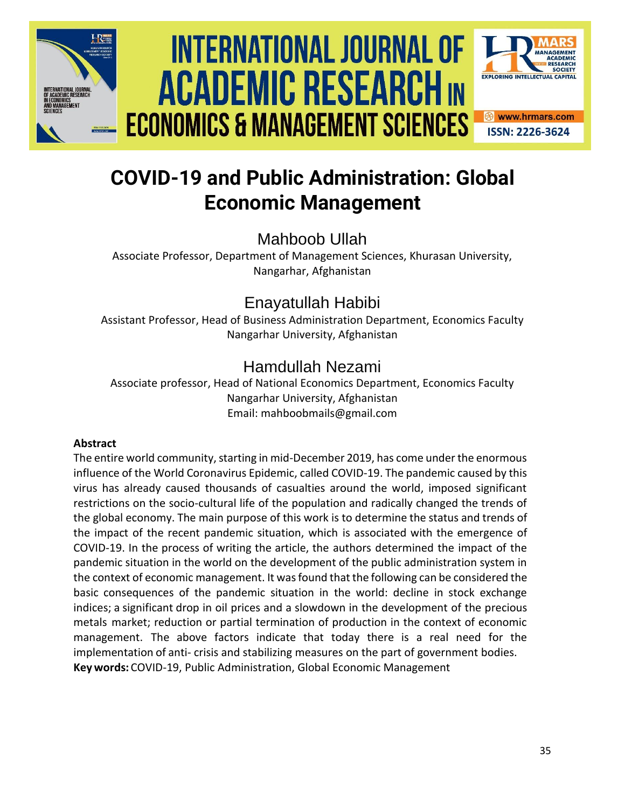

# International Journal of Academic Research economics and management sciences **Vol. 1 0 , No. 1, 2020, E-ISSN: 2226-3624 © 2020 HRMARS ACADEMIC RESEARCH IN ECONOMICS & MANAGEMENT SCIENCES**



**ISSN: 2226-3624** 

## **COVID-19 and Public Administration: Global Economic Management**

Mahboob Ullah

Associate Professor, Department of Management Sciences, Khurasan University, Nangarhar, Afghanistan

## Enayatullah Habibi

Assistant Professor, Head of Business Administration Department, Economics Faculty Nangarhar University, Afghanistan

## Hamdullah Nezami

Associate professor, Head of National Economics Department, Economics Faculty Nangarhar University, Afghanistan Email: mahboobmails@gmail.com

#### **Abstract**

The entire world community, starting in mid-December 2019, has come under the enormous influence of the World Coronavirus Epidemic, called COVID-19. The pandemic caused by this virus has already caused thousands of casualties around the world, imposed significant restrictions on the socio-cultural life of the population and radically changed the trends of the global economy. The main purpose of this work is to determine the status and trends of the impact of the recent pandemic situation, which is associated with the emergence of COVID-19. In the process of writing the article, the authors determined the impact of the pandemic situation in the world on the development of the public administration system in the context of economic management. It wasfound that the following can be considered the basic consequences of the pandemic situation in the world: decline in stock exchange indices; a significant drop in oil prices and a slowdown in the development of the precious metals market; reduction or partial termination of production in the context of economic management. The above factors indicate that today there is a real need for the implementation of anti- crisis and stabilizing measures on the part of government bodies. **Key words:** COVID-19, Public Administration, Global Economic Management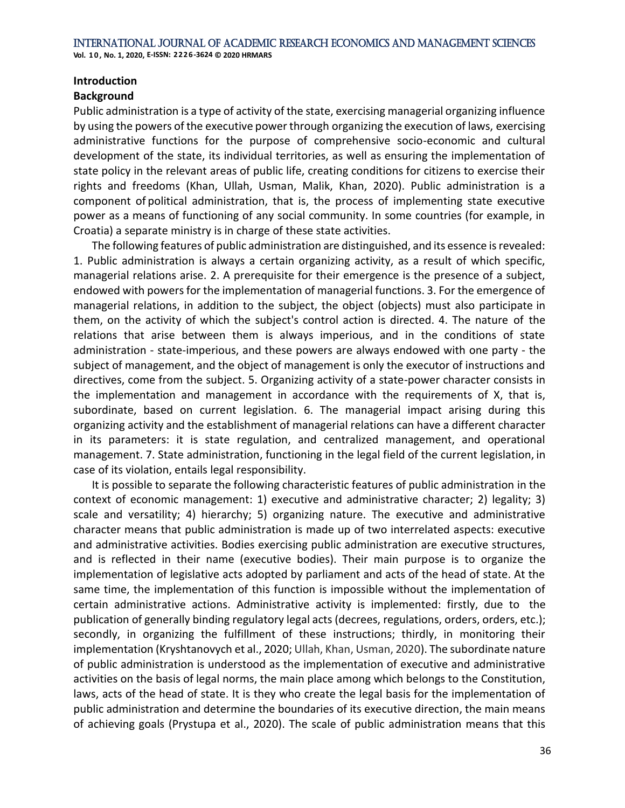#### **Introduction**

#### **Background**

Public administration is a type of activity of the state, exercising managerial organizing influence by using the powers of the executive power through organizing the execution of laws, exercising administrative functions for the purpose of comprehensive socio-economic and cultural development of the state, its individual territories, as well as ensuring the implementation of state policy in the relevant areas of public life, creating conditions for citizens to exercise their rights and freedoms (Khan, Ullah, Usman, Malik, Khan, 2020). Public administration is a component of political administration, that is, the process of implementing state executive power as a means of functioning of any social community. In some countries (for example, in Croatia) a separate ministry is in charge of these state activities.

The following features of public administration are distinguished, and its essence is revealed: 1. Public administration is always a certain organizing activity, as a result of which specific, managerial relations arise. 2. A prerequisite for their emergence is the presence of a subject, endowed with powers for the implementation of managerial functions. 3. For the emergence of managerial relations, in addition to the subject, the object (objects) must also participate in them, on the activity of which the subject's control action is directed. 4. The nature of the relations that arise between them is always imperious, and in the conditions of state administration - state-imperious, and these powers are always endowed with one party - the subject of management, and the object of management is only the executor of instructions and directives, come from the subject. 5. Organizing activity of a state-power character consists in the implementation and management in accordance with the requirements of X, that is, subordinate, based on current legislation. 6. The managerial impact arising during this organizing activity and the establishment of managerial relations can have a different character in its parameters: it is state regulation, and centralized management, and operational management. 7. State administration, functioning in the legal field of the current legislation, in case of its violation, entails legal responsibility.

It is possible to separate the following characteristic features of public administration in the context of economic management: 1) executive and administrative character; 2) legality; 3) scale and versatility; 4) hierarchy; 5) organizing nature. The executive and administrative character means that public administration is made up of two interrelated aspects: executive and administrative activities. Bodies exercising public administration are executive structures, and is reflected in their name (executive bodies). Their main purpose is to organize the implementation of legislative acts adopted by parliament and acts of the head of state. At the same time, the implementation of this function is impossible without the implementation of certain administrative actions. Administrative activity is implemented: firstly, due to the publication of generally binding regulatory legal acts (decrees, regulations, orders, orders, etc.); secondly, in organizing the fulfillment of these instructions; thirdly, in monitoring their implementation (Kryshtanovych et al., 2020; Ullah, Khan, Usman, 2020). The subordinate nature of public administration is understood as the implementation of executive and administrative activities on the basis of legal norms, the main place among which belongs to the Constitution, laws, acts of the head of state. It is they who create the legal basis for the implementation of public administration and determine the boundaries of its executive direction, the main means of achieving goals (Prystupa et al., 2020). The scale of public administration means that this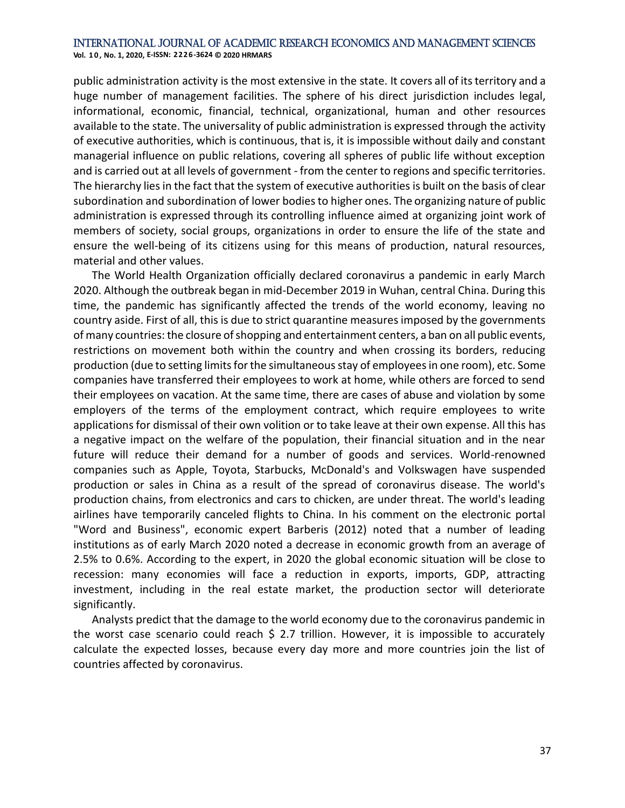public administration activity is the most extensive in the state. It covers all of its territory and a huge number of management facilities. The sphere of his direct jurisdiction includes legal, informational, economic, financial, technical, organizational, human and other resources available to the state. The universality of public administration is expressed through the activity of executive authorities, which is continuous, that is, it is impossible without daily and constant managerial influence on public relations, covering all spheres of public life without exception and is carried out at all levels of government - from the center to regions and specific territories. The hierarchy lies in the fact that the system of executive authorities is built on the basis of clear subordination and subordination of lower bodies to higher ones. The organizing nature of public administration is expressed through its controlling influence aimed at organizing joint work of members of society, social groups, organizations in order to ensure the life of the state and ensure the well-being of its citizens using for this means of production, natural resources, material and other values.

The World Health Organization officially declared coronavirus a pandemic in early March 2020. Although the outbreak began in mid-December 2019 in Wuhan, central China. During this time, the pandemic has significantly affected the trends of the world economy, leaving no country aside. First of all, this is due to strict quarantine measures imposed by the governments of many countries:the closure ofshopping and entertainment centers, a ban on all public events, restrictions on movement both within the country and when crossing its borders, reducing production (due to setting limits for the simultaneous stay of employees in one room), etc. Some companies have transferred their employees to work at home, while others are forced to send their employees on vacation. At the same time, there are cases of abuse and violation by some employers of the terms of the employment contract, which require employees to write applications for dismissal of their own volition or to take leave at their own expense. All this has a negative impact on the welfare of the population, their financial situation and in the near future will reduce their demand for a number of goods and services. World-renowned companies such as Apple, Toyota, Starbucks, McDonald's and Volkswagen have suspended production or sales in China as a result of the spread of coronavirus disease. The world's production chains, from electronics and cars to chicken, are under threat. The world's leading airlines have temporarily canceled flights to China. In his comment on the electronic portal "Word and Business", economic expert Barberis (2012) noted that a number of leading institutions as of early March 2020 noted a decrease in economic growth from an average of 2.5% to 0.6%. According to the expert, in 2020 the global economic situation will be close to recession: many economies will face a reduction in exports, imports, GDP, attracting investment, including in the real estate market, the production sector will deteriorate significantly.

Analysts predict that the damage to the world economy due to the coronavirus pandemic in the worst case scenario could reach  $\frac{2}{7}$  2.7 trillion. However, it is impossible to accurately calculate the expected losses, because every day more and more countries join the list of countries affected by coronavirus.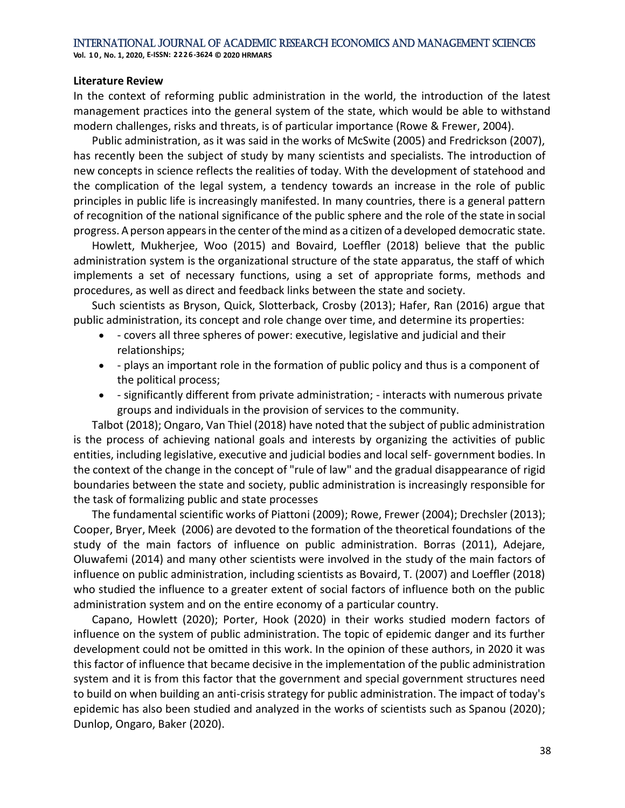#### **Literature Review**

In the context of reforming public administration in the world, the introduction of the latest management practices into the general system of the state, which would be able to withstand modern challenges, risks and threats, is of particular importance (Rowe & Frewer, 2004).

Public administration, as it was said in the works of McSwite (2005) and Fredrickson (2007), has recently been the subject of study by many scientists and specialists. The introduction of new concepts in science reflects the realities of today. With the development of statehood and the complication of the legal system, a tendency towards an increase in the role of public principles in public life is increasingly manifested. In many countries, there is a general pattern of recognition of the national significance of the public sphere and the role of the state in social progress. Aperson appearsin the center ofthemind as a citizen of a developed democratic state.

Howlett, Mukherjee, Woo (2015) and Bovaird, Loeffler (2018) believe that the public administration system is the organizational structure of the state apparatus, the staff of which implements a set of necessary functions, using a set of appropriate forms, methods and procedures, as well as direct and feedback links between the state and society.

Such scientists as Bryson, Quick, Slotterback, Crosby (2013); Hafer, Ran (2016) argue that public administration, its concept and role change over time, and determine its properties:

- - covers all three spheres of power: executive, legislative and judicial and their relationships;
- - plays an important role in the formation of public policy and thus is a component of the political process;
- - significantly different from private administration; interacts with numerous private groups and individuals in the provision of services to the community.

Talbot (2018); Ongaro, Van Thiel (2018) have noted that the subject of public administration is the process of achieving national goals and interests by organizing the activities of public entities, including legislative, executive and judicial bodies and local self- government bodies. In the context of the change in the concept of "rule of law" and the gradual disappearance of rigid boundaries between the state and society, public administration is increasingly responsible for the task of formalizing public and state processes

The fundamental scientific works of Piattoni (2009); Rowe, Frewer (2004); Drechsler (2013); Cooper, Bryer, Meek (2006) are devoted to the formation of the theoretical foundations of the study of the main factors of influence on public administration. Borras (2011), Adejare, Oluwafemi (2014) and many other scientists were involved in the study of the main factors of influence on public administration, including scientists as Bovaird, T. (2007) and Loeffler (2018) who studied the influence to a greater extent of social factors of influence both on the public administration system and on the entire economy of a particular country.

Capano, Howlett (2020); Porter, Hook (2020) in their works studied modern factors of influence on the system of public administration. The topic of epidemic danger and its further development could not be omitted in this work. In the opinion of these authors, in 2020 it was this factor of influence that became decisive in the implementation of the public administration system and it is from this factor that the government and special government structures need to build on when building an anti-crisis strategy for public administration. The impact of today's epidemic has also been studied and analyzed in the works of scientists such as Spanou (2020); Dunlop, Ongaro, Baker (2020).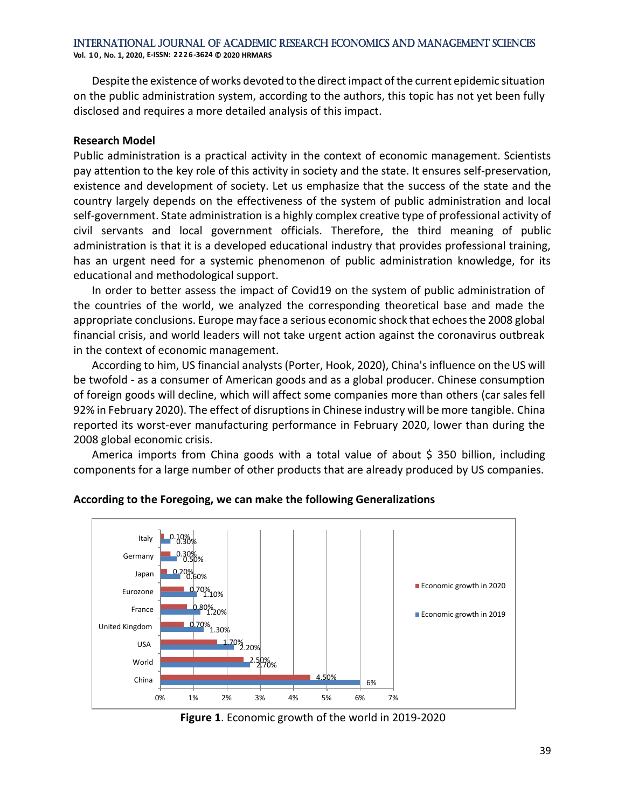**Vol. 1 0 , No. 1, 2020, E-ISSN: 2226-3624 © 2020 HRMARS**

Despite the existence of works devoted to the direct impact of the current epidemic situation on the public administration system, according to the authors, this topic has not yet been fully disclosed and requires a more detailed analysis of this impact.

#### **Research Model**

Public administration is a practical activity in the context of economic management. Scientists pay attention to the key role of this activity in society and the state. It ensures self-preservation, existence and development of society. Let us emphasize that the success of the state and the country largely depends on the effectiveness of the system of public administration and local self-government. State administration is a highly complex creative type of professional activity of civil servants and local government officials. Therefore, the third meaning of public administration is that it is a developed educational industry that provides professional training, has an urgent need for a systemic phenomenon of public administration knowledge, for its educational and methodological support.

In order to better assess the impact of Covid19 on the system of public administration of the countries of the world, we analyzed the corresponding theoretical base and made the appropriate conclusions. Europe may face a serious economic shock that echoes the 2008 global financial crisis, and world leaders will not take urgent action against the coronavirus outbreak in the context of economic management.

According to him, US financial analysts (Porter, Hook, 2020), China's influence on the US will be twofold - as a consumer of American goods and as a global producer. Chinese consumption of foreign goods will decline, which will affect some companies more than others (car sales fell 92% in February 2020). The effect of disruptionsin Chinese industry will be more tangible. China reported its worst-ever manufacturing performance in February 2020, lower than during the 2008 global economic crisis.

America imports from China goods with a total value of about  $\frac{1}{5}$  350 billion, including components for a large number of other products that are already produced by US companies.



#### **According to the Foregoing, we can make the following Generalizations**

**Figure 1**. Economic growth of the world in 2019-2020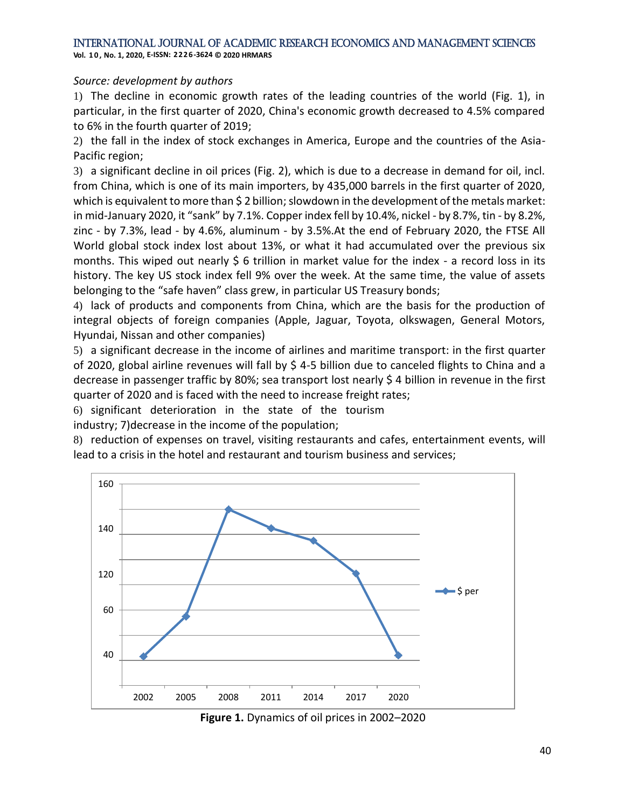**Vol. 1 0 , No. 1, 2020, E-ISSN: 2226-3624 © 2020 HRMARS**

#### *Source: development by authors*

1) The decline in economic growth rates of the leading countries of the world (Fig. 1), in particular, in the first quarter of 2020, China's economic growth decreased to 4.5% compared to 6% in the fourth quarter of 2019;

2) the fall in the index of stock exchanges in America, Europe and the countries of the Asia-Pacific region;

3) a significant decline in oil prices (Fig. 2), which is due to a decrease in demand for oil, incl. from China, which is one of its main importers, by 435,000 barrels in the first quarter of 2020, which is equivalent to more than \$2 billion; slowdown in the development of the metals market: in mid-January 2020, it "sank" by 7.1%. Copper index fell by 10.4%, nickel - by 8.7%, tin - by 8.2%, zinc - by 7.3%, lead - by 4.6%, aluminum - by 3.5%.At the end of February 2020, the FTSE All World global stock index lost about 13%, or what it had accumulated over the previous six months. This wiped out nearly  $\frac{1}{2}$  6 trillion in market value for the index - a record loss in its history. The key US stock index fell 9% over the week. At the same time, the value of assets belonging to the "safe haven" class grew, in particular US Treasury bonds;

4) lack of products and components from China, which are the basis for the production of integral objects of foreign companies (Apple, Jaguar, Toyota, olkswagen, General Motors, Hyundai, Nissan and other companies)

5) a significant decrease in the income of airlines and maritime transport: in the first quarter of 2020, global airline revenues will fall by \$ 4-5 billion due to canceled flights to China and a decrease in passenger traffic by 80%; sea transport lost nearly \$ 4 billion in revenue in the first quarter of 2020 and is faced with the need to increase freight rates;

6) significant deterioration in the state of the tourism industry; 7)decrease in the income of the population;

8) reduction of expenses on travel, visiting restaurants and cafes, entertainment events, will lead to a crisis in the hotel and restaurant and tourism business and services;



**Figure 1.** Dynamics of oil prices in 2002–2020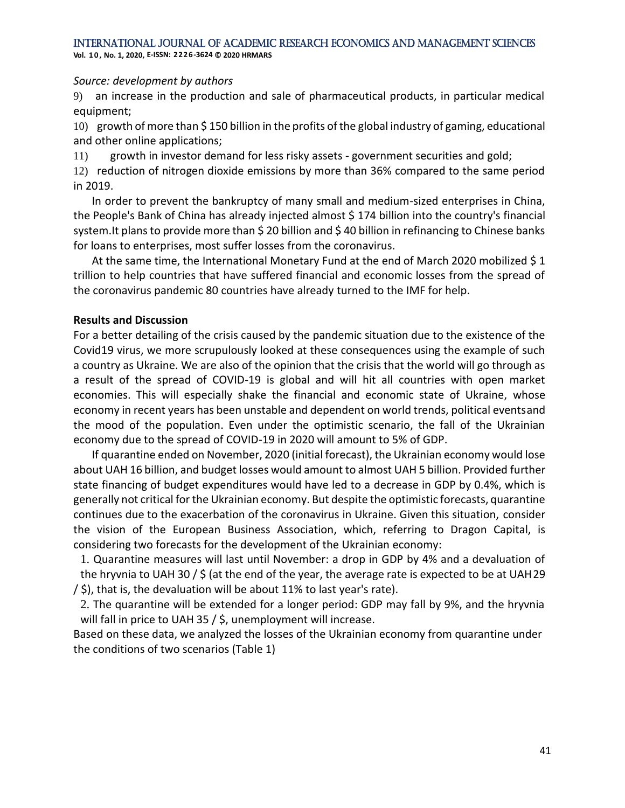**Vol. 1 0 , No. 1, 2020, E-ISSN: 2226-3624 © 2020 HRMARS**

#### *Source: development by authors*

9) an increase in the production and sale of pharmaceutical products, in particular medical equipment;

10) growth of more than  $\frac{1}{2}$  150 billion in the profits of the global industry of gaming, educational and other online applications;

11) growth in investor demand for less risky assets - government securities and gold;

12) reduction of nitrogen dioxide emissions by more than 36% compared to the same period in 2019.

In order to prevent the bankruptcy of many small and medium-sized enterprises in China, the People's Bank of China has already injected almost \$ 174 billion into the country's financial system. It plans to provide more than \$ 20 billion and \$ 40 billion in refinancing to Chinese banks for loans to enterprises, most suffer losses from the coronavirus.

At the same time, the International Monetary Fund at the end of March 2020 mobilized \$ 1 trillion to help countries that have suffered financial and economic losses from the spread of the coronavirus pandemic 80 countries have already turned to the IMF for help.

#### **Results and Discussion**

For a better detailing of the crisis caused by the pandemic situation due to the existence of the Сovid19 virus, we more scrupulously looked at these consequences using the example of such a country as Ukraine. We are also of the opinion that the crisis that the world will go through as a result of the spread of COVID-19 is global and will hit all countries with open market economies. This will especially shake the financial and economic state of Ukraine, whose economy in recent years has been unstable and dependent on world trends, political eventsand the mood of the population. Even under the optimistic scenario, the fall of the Ukrainian economy due to the spread of COVID-19 in 2020 will amount to 5% of GDP.

If quarantine ended on November, 2020 (initial forecast), the Ukrainian economy would lose about UAH 16 billion, and budget losses would amount to almost UAH 5 billion. Provided further state financing of budget expenditures would have led to a decrease in GDP by 0.4%, which is generally not critical for the Ukrainian economy. But despite the optimistic forecasts, quarantine continues due to the exacerbation of the coronavirus in Ukraine. Given this situation, consider the vision of the European Business Association, which, referring to Dragon Capital, is considering two forecasts for the development of the Ukrainian economy:

1. Quarantine measures will last until November: a drop in GDP by 4% and a devaluation of the hryvnia to UAH 30 / \$ (at the end of the year, the average rate is expected to be at UAH29 / \$), that is, the devaluation will be about 11% to last year's rate).

2. The quarantine will be extended for a longer period: GDP may fall by 9%, and the hryvnia will fall in price to UAH 35 / \$, unemployment will increase.

Based on these data, we analyzed the losses of the Ukrainian economy from quarantine under the conditions of two scenarios (Table 1)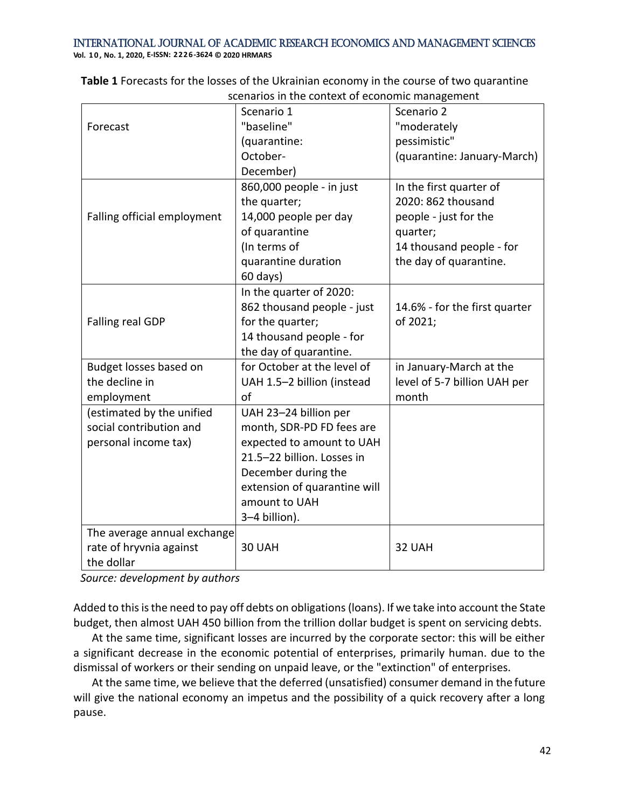**Vol. 1 0 , No. 1, 2020, E-ISSN: 2226-3624 © 2020 HRMARS**

| scenarios in the context or economic management |                              |                               |
|-------------------------------------------------|------------------------------|-------------------------------|
|                                                 | Scenario 1                   | Scenario 2                    |
| Forecast                                        | "baseline"                   | "moderately                   |
|                                                 | (quarantine:                 | pessimistic"                  |
|                                                 | October-                     | (quarantine: January-March)   |
|                                                 | December)                    |                               |
|                                                 | 860,000 people - in just     | In the first quarter of       |
|                                                 | the quarter;                 | 2020: 862 thousand            |
| Falling official employment                     | 14,000 people per day        | people - just for the         |
|                                                 | of quarantine                | quarter;                      |
|                                                 | (In terms of                 | 14 thousand people - for      |
|                                                 | quarantine duration          | the day of quarantine.        |
|                                                 | 60 days)                     |                               |
|                                                 | In the quarter of 2020:      |                               |
|                                                 | 862 thousand people - just   | 14.6% - for the first quarter |
| Falling real GDP                                | for the quarter;             | of 2021;                      |
|                                                 | 14 thousand people - for     |                               |
|                                                 | the day of quarantine.       |                               |
| Budget losses based on                          | for October at the level of  | in January-March at the       |
| the decline in                                  | UAH 1.5-2 billion (instead   | level of 5-7 billion UAH per  |
| employment                                      | of                           | month                         |
| (estimated by the unified                       | UAH 23-24 billion per        |                               |
| social contribution and                         | month, SDR-PD FD fees are    |                               |
| personal income tax)                            | expected to amount to UAH    |                               |
|                                                 | 21.5-22 billion. Losses in   |                               |
|                                                 | December during the          |                               |
|                                                 | extension of quarantine will |                               |
|                                                 | amount to UAH                |                               |
|                                                 | 3-4 billion).                |                               |
| The average annual exchange                     |                              |                               |
| rate of hryvnia against                         | 30 UAH                       | 32 UAH                        |
| the dollar                                      |                              |                               |

**Table 1** Forecasts for the losses of the Ukrainian economy in the course of two quarantine scenarios in the context of economic management

*Source: development by authors*

Added to this is the need to pay off debts on obligations (loans). If we take into account the State budget, then almost UAH 450 billion from the trillion dollar budget is spent on servicing debts.

At the same time, significant losses are incurred by the corporate sector: this will be either a significant decrease in the economic potential of enterprises, primarily human. due to the dismissal of workers or their sending on unpaid leave, or the "extinction" of enterprises.

At the same time, we believe that the deferred (unsatisfied) consumer demand in the future will give the national economy an impetus and the possibility of a quick recovery after a long pause.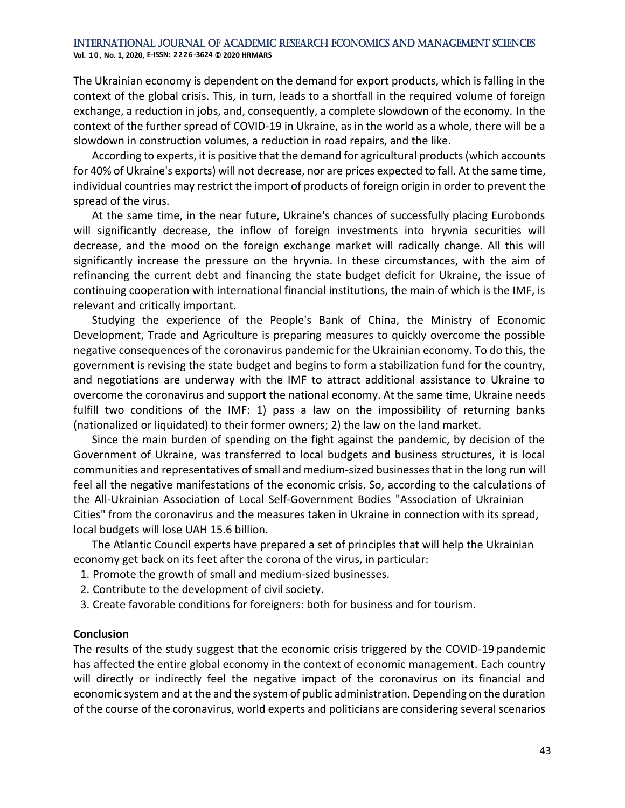The Ukrainian economy is dependent on the demand for export products, which is falling in the context of the global crisis. This, in turn, leads to a shortfall in the required volume of foreign exchange, a reduction in jobs, and, consequently, a complete slowdown of the economy. In the context of the further spread of COVID-19 in Ukraine, as in the world as a whole, there will be a slowdown in construction volumes, a reduction in road repairs, and the like.

According to experts, it is positive that the demand for agricultural products (which accounts for 40% of Ukraine's exports) will not decrease, nor are prices expected to fall. At the same time, individual countries may restrict the import of products of foreign origin in order to prevent the spread of the virus.

At the same time, in the near future, Ukraine's chances of successfully placing Eurobonds will significantly decrease, the inflow of foreign investments into hryvnia securities will decrease, and the mood on the foreign exchange market will radically change. All this will significantly increase the pressure on the hryvnia. In these circumstances, with the aim of refinancing the current debt and financing the state budget deficit for Ukraine, the issue of continuing cooperation with international financial institutions, the main of which is the IMF, is relevant and critically important.

Studying the experience of the People's Bank of China, the Ministry of Economic Development, Trade and Agriculture is preparing measures to quickly overcome the possible negative consequences of the coronavirus pandemic for the Ukrainian economy. To do this, the government is revising the state budget and begins to form a stabilization fund for the country, and negotiations are underway with the IMF to attract additional assistance to Ukraine to overcome the coronavirus and support the national economy. At the same time, Ukraine needs fulfill two conditions of the IMF: 1) pass a law on the impossibility of returning banks (nationalized or liquidated) to their former owners; 2) the law on the land market.

Since the main burden of spending on the fight against the pandemic, by decision of the Government of Ukraine, was transferred to local budgets and business structures, it is local communities and representatives of small and medium-sized businesses that in the long run will feel all the negative manifestations of the economic crisis. So, according to the calculations of the All-Ukrainian Association of Local Self-Government Bodies "Association of Ukrainian Cities" from the coronavirus and the measures taken in Ukraine in connection with its spread, local budgets will lose UAH 15.6 billion.

The Atlantic Council experts have prepared a set of principles that will help the Ukrainian economy get back on its feet after the corona of the virus, in particular:

- 1. Promote the growth of small and medium-sized businesses.
- 2. Contribute to the development of civil society.
- 3. Create favorable conditions for foreigners: both for business and for tourism.

#### **Conclusion**

The results of the study suggest that the economic crisis triggered by the COVID-19 pandemic has affected the entire global economy in the context of economic management. Each country will directly or indirectly feel the negative impact of the coronavirus on its financial and economic system and at the and the system of public administration. Depending on the duration of the course of the coronavirus, world experts and politicians are considering several scenarios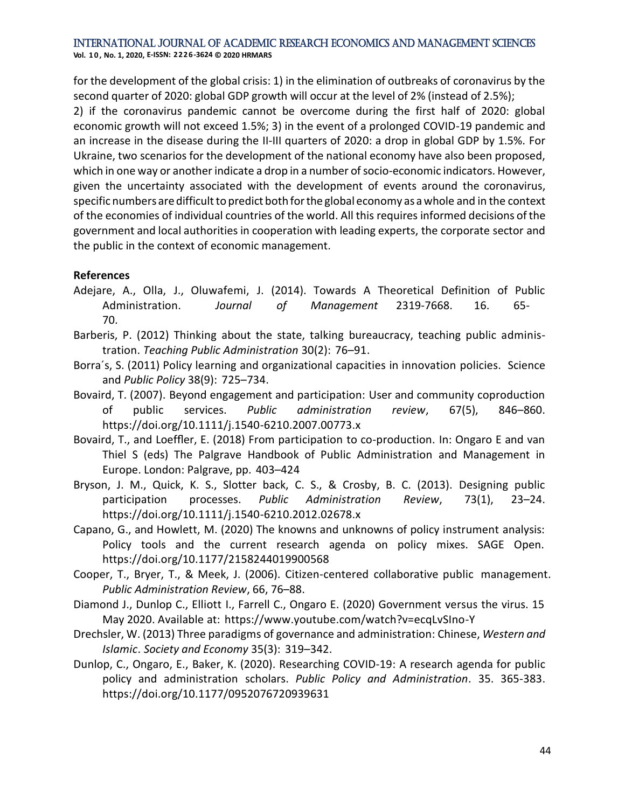for the development of the global crisis: 1) in the elimination of outbreaks of coronavirus by the second quarter of 2020: global GDP growth will occur at the level of 2% (instead of 2.5%);

2) if the coronavirus pandemic cannot be overcome during the first half of 2020: global economic growth will not exceed 1.5%; 3) in the event of a prolonged COVID-19 pandemic and an increase in the disease during the II-III quarters of 2020: a drop in global GDP by 1.5%. For Ukraine, two scenarios for the development of the national economy have also been proposed, which in one way or another indicate a drop in a number of socio-economic indicators. However, given the uncertainty associated with the development of events around the coronavirus, specific numbers are difficult to predict both for the global economy as a whole and in the context of the economies of individual countries of the world. All this requires informed decisions ofthe government and local authorities in cooperation with leading experts, the corporate sector and the public in the context of economic management.

#### **References**

- Adejare, A., Olla, J., Oluwafemi, J. (2014). Towards A Theoretical Definition of Public Administration. *Journal of Management* 2319-7668. 16. 65- 70.
- Barberis, P. (2012) Thinking about the state, talking bureaucracy, teaching public administration. *Teaching Public Administration* 30(2): 76–91.
- Borra´s, S. (2011) Policy learning and organizational capacities in innovation policies. Science and *Public Policy* 38(9): 725–734.
- Bovaird, T. (2007). Beyond engagement and participation: User and community coproduction of public services. *Public administration review*, 67(5), 846–860. https://doi.org/10.1111/j.1540-6210.2007.00773.x
- Bovaird, T., and Loeffler, E. (2018) From participation to co-production. In: Ongaro E and van Thiel S (eds) The Palgrave Handbook of Public Administration and Management in Europe. London: Palgrave, pp. 403–424
- Bryson, J. M., Quick, K. S., Slotter back, C. S., & Crosby, B. C. (2013). Designing public participation processes. *Public Administration Review*, 73(1), 23–24. https://doi.org/10.1111/j.1540-6210.2012.02678.x
- Capano, G., and Howlett, M. (2020) The knowns and unknowns of policy instrument analysis: Policy tools and the current research agenda on policy mixes. SAGE Open. https://doi.org/10.1177/2158244019900568
- Cooper, T., Bryer, T., & Meek, J. (2006). Citizen-centered collaborative public management. *Public Administration Review*, 66, 76–88.
- Diamond J., Dunlop C., Elliott I., Farrell C., Ongaro E. (2020) Government versus the virus. 15 May 2020. Available at: https:/[/www.youtube.com/watch?v=ecqLvSIno-Y](http://www.youtube.com/watch?v=ecqLvSIno-Y)
- Drechsler, W. (2013) Three paradigms of governance and administration: Chinese, *Western and Islamic*. *Society and Economy* 35(3): 319–342.
- Dunlop, C., Ongaro, E., Baker, K. (2020). Researching COVID-19: A research agenda for public policy and administration scholars. *Public Policy and Administration*. 35. 365-383. https://doi.org/10.1177/0952076720939631